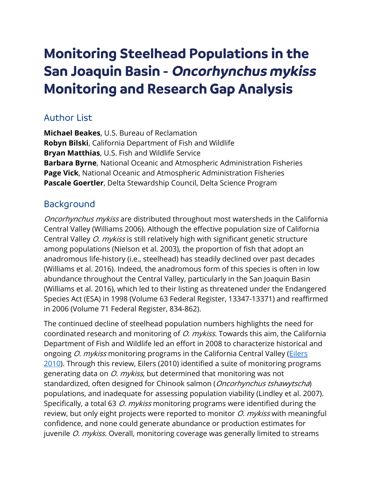# **Monitoring Steelhead Populations in the San Joaquin Basin** - **Oncorhynchus mykiss Monitoring and Research Gap Analysis**

## Author List

**Michael Beakes**, U.S. Bureau of Reclamation **Robyn Bilski**, California Department of Fish and Wildlife **Bryan Matthias**, U.S. Fish and Wildlife Service **Barbara Byrne**, National Oceanic and Atmospheric Administration Fisheries **Page Vick**, National Oceanic and Atmospheric Administration Fisheries **Pascale Goertler**, Delta Stewardship Council, Delta Science Program

## Background

Oncorhynchus mykiss are distributed throughout most watersheds in the California Central Valley (Williams 2006). Although the effective population size of California Central Valley *O. mykiss* is still relatively high with significant genetic structure among populations (Nielson et al. 2003), the proportion of fish that adopt an anadromous life-history (i.e., steelhead) has steadily declined over past decades (Williams et al. 2016). Indeed, the anadromous form of this species is often in low abundance throughout the Central Valley, particularly in the San Joaquin Basin (Williams et al. 2016), which led to their listing as threatened under the Endangered Species Act (ESA) in 1998 (Volume 63 Federal Register, 13347-13371) and reaffirmed in 2006 (Volume 71 Federal Register, 834-862).

The continued decline of steelhead population numbers highlights the need for coordinated research and monitoring of *O. mykiss*. Towards this aim, the California Department of Fish and Wildlife led an effort in 2008 to characterize historical and ongoing *O. mykiss* monitoring programs in the California Central Valley (Eilers [2010\)](https://nrm.dfg.ca.gov/FileHandler.ashx?DocumentID=25785). Through this review, Eilers (2010) identified a suite of monitoring programs generating data on *O. mykiss*, but determined that monitoring was not standardized, often designed for Chinook salmon (*Oncorhynchus tshawytscha*) populations, and inadequate for assessing population viability (Lindley et al. 2007). Specifically, a total 63 *O. mykiss* monitoring programs were identified during the review, but only eight projects were reported to monitor *O. mykiss* with meaningful confidence, and none could generate abundance or production estimates for juvenile *O. mykiss*. Overall, monitoring coverage was generally limited to streams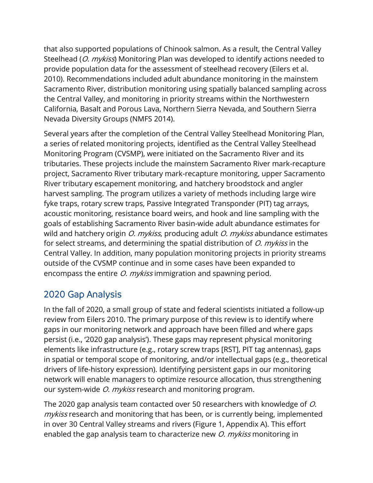that also supported populations of Chinook salmon. As a result, the Central Valley Steelhead (O. mykiss) Monitoring Plan was developed to identify actions needed to provide population data for the assessment of steelhead recovery (Eilers et al. 2010). Recommendations included adult abundance monitoring in the mainstem Sacramento River, distribution monitoring using spatially balanced sampling across the Central Valley, and monitoring in priority streams within the Northwestern California, Basalt and Porous Lava, Northern Sierra Nevada, and Southern Sierra Nevada Diversity Groups (NMFS 2014).

Several years after the completion of the Central Valley Steelhead Monitoring Plan, a series of related monitoring projects, identified as the Central Valley Steelhead Monitoring Program (CVSMP), were initiated on the Sacramento River and its tributaries. These projects include the mainstem Sacramento River mark-recapture project, Sacramento River tributary mark-recapture monitoring, upper Sacramento River tributary escapement monitoring, and hatchery broodstock and angler harvest sampling. The program utilizes a variety of methods including large wire fyke traps, rotary screw traps, Passive Integrated Transponder (PIT) tag arrays, acoustic monitoring, resistance board weirs, and hook and line sampling with the goals of establishing Sacramento River basin-wide adult abundance estimates for wild and hatchery origin  $O$ . mykiss, producing adult  $O$ . mykiss abundance estimates for select streams, and determining the spatial distribution of  $O$ . mykiss in the Central Valley. In addition, many population monitoring projects in priority streams outside of the CVSMP continue and in some cases have been expanded to encompass the entire *O. mykiss* immigration and spawning period.

## 2020 Gap Analysis

In the fall of 2020, a small group of state and federal scientists initiated a follow-up review from Eilers 2010. The primary purpose of this review is to identify where gaps in our monitoring network and approach have been filled and where gaps persist (i.e., '2020 gap analysis'). These gaps may represent physical monitoring elements like infrastructure (e.g., rotary screw traps [RST], PIT tag antennas), gaps in spatial or temporal scope of monitoring, and/or intellectual gaps (e.g., theoretical drivers of life-history expression). Identifying persistent gaps in our monitoring network will enable managers to optimize resource allocation, thus strengthening our system-wide *O. mykiss* research and monitoring program.

The 2020 gap analysis team contacted over 50 researchers with knowledge of O. mykiss research and monitoring that has been, or is currently being, implemented in over 30 Central Valley streams and rivers (Figure 1, Appendix A). This effort enabled the gap analysis team to characterize new *O. mykiss* monitoring in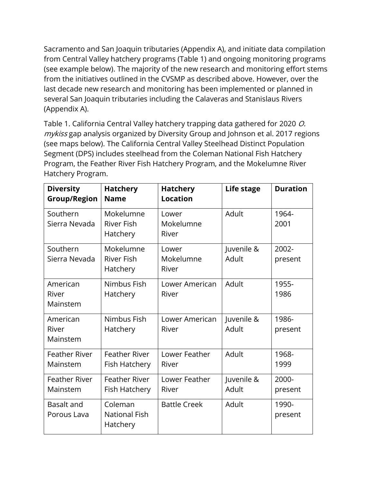Sacramento and San Joaquin tributaries (Appendix A), and initiate data compilation from Central Valley hatchery programs (Table 1) and ongoing monitoring programs (see example below). The majority of the new research and monitoring effort stems from the initiatives outlined in the CVSMP as described above. However, over the last decade new research and monitoring has been implemented or planned in several San Joaquin tributaries including the Calaveras and Stanislaus Rivers (Appendix A).

Table 1. California Central Valley hatchery trapping data gathered for 2020 O. mykiss gap analysis organized by Diversity Group and Johnson et al. 2017 regions (see maps below). The California Central Valley Steelhead Distinct Population Segment (DPS) includes steelhead from the Coleman National Fish Hatchery Program, the Feather River Fish Hatchery Program, and the Mokelumne River Hatchery Program.

| <b>Diversity</b><br><b>Group/Region</b> | <b>Hatchery</b><br><b>Name</b>              | <b>Hatchery</b><br><b>Location</b> | Life stage          | <b>Duration</b>  |
|-----------------------------------------|---------------------------------------------|------------------------------------|---------------------|------------------|
| Southern<br>Sierra Nevada               | Mokelumne<br><b>River Fish</b><br>Hatchery  | Lower<br>Mokelumne<br>River        | Adult               | 1964-<br>2001    |
| Southern<br>Sierra Nevada               | Mokelumne<br><b>River Fish</b><br>Hatchery  | Lower<br>Mokelumne<br>River        | Juvenile &<br>Adult | 2002-<br>present |
| American<br>River<br>Mainstem           | Nimbus Fish<br>Hatchery                     | Lower American<br>River            | Adult               | 1955-<br>1986    |
| American<br>River<br>Mainstem           | Nimbus Fish<br>Hatchery                     | Lower American<br>River            | Juvenile &<br>Adult | 1986-<br>present |
| <b>Feather River</b><br>Mainstem        | <b>Feather River</b><br>Fish Hatchery       | Lower Feather<br>River             | Adult               | 1968-<br>1999    |
| <b>Feather River</b><br>Mainstem        | <b>Feather River</b><br>Fish Hatchery       | Lower Feather<br>River             | Juvenile &<br>Adult | 2000-<br>present |
| <b>Basalt and</b><br>Porous Lava        | Coleman<br><b>National Fish</b><br>Hatchery | <b>Battle Creek</b>                | Adult               | 1990-<br>present |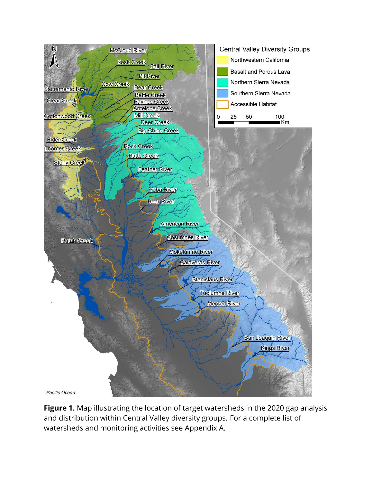

Figure 1. Map illustrating the location of target watersheds in the 2020 gap analysis and distribution within Central Valley diversity groups. For a complete list of watersheds and monitoring activities see Appendix A.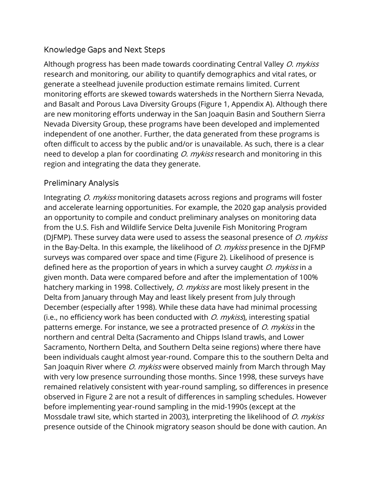#### Knowledge Gaps and Next Steps

Although progress has been made towards coordinating Central Valley O. mykiss research and monitoring, our ability to quantify demographics and vital rates, or generate a steelhead juvenile production estimate remains limited. Current monitoring efforts are skewed towards watersheds in the Northern Sierra Nevada, and Basalt and Porous Lava Diversity Groups (Figure 1, Appendix A). Although there are new monitoring efforts underway in the San Joaquin Basin and Southern Sierra Nevada Diversity Group, these programs have been developed and implemented independent of one another. Further, the data generated from these programs is often difficult to access by the public and/or is unavailable. As such, there is a clear need to develop a plan for coordinating *O. mykiss* research and monitoring in this region and integrating the data they generate.

#### Preliminary Analysis

Integrating O. mykiss monitoring datasets across regions and programs will foster and accelerate learning opportunities. For example, the 2020 gap analysis provided an opportunity to compile and conduct preliminary analyses on monitoring data from the U.S. Fish and Wildlife Service Delta Juvenile Fish Monitoring Program (DJFMP). These survey data were used to assess the seasonal presence of  $O$ . mykiss in the Bay-Delta. In this example, the likelihood of  $O$ . *mykiss* presence in the DJFMP surveys was compared over space and time (Figure 2). Likelihood of presence is defined here as the proportion of years in which a survey caught O. mykiss in a given month. Data were compared before and after the implementation of 100% hatchery marking in 1998. Collectively, *O. mykiss* are most likely present in the Delta from January through May and least likely present from July through December (especially after 1998). While these data have had minimal processing (i.e., no efficiency work has been conducted with  $O$ .  $m$ ykiss), interesting spatial patterns emerge. For instance, we see a protracted presence of *O. mykiss* in the northern and central Delta (Sacramento and Chipps Island trawls, and Lower Sacramento, Northern Delta, and Southern Delta seine regions) where there have been individuals caught almost year-round. Compare this to the southern Delta and San Joaquin River where *O. mykiss* were observed mainly from March through May with very low presence surrounding those months. Since 1998, these surveys have remained relatively consistent with year-round sampling, so differences in presence observed in Figure 2 are not a result of differences in sampling schedules. However before implementing year-round sampling in the mid-1990s (except at the Mossdale trawl site, which started in 2003), interpreting the likelihood of *O. mykiss* presence outside of the Chinook migratory season should be done with caution. An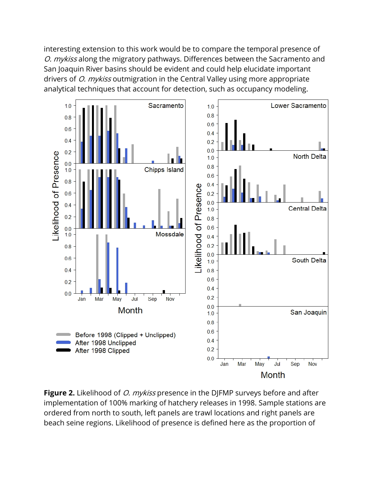interesting extension to this work would be to compare the temporal presence of O. mykiss along the migratory pathways. Differences between the Sacramento and San Joaquin River basins should be evident and could help elucidate important drivers of *O. mykiss* outmigration in the Central Valley using more appropriate analytical techniques that account for detection, such as occupancy modeling.



**Figure 2.** Likelihood of *O. mykiss* presence in the DJFMP surveys before and after implementation of 100% marking of hatchery releases in 1998. Sample stations are ordered from north to south, left panels are trawl locations and right panels are beach seine regions. Likelihood of presence is defined here as the proportion of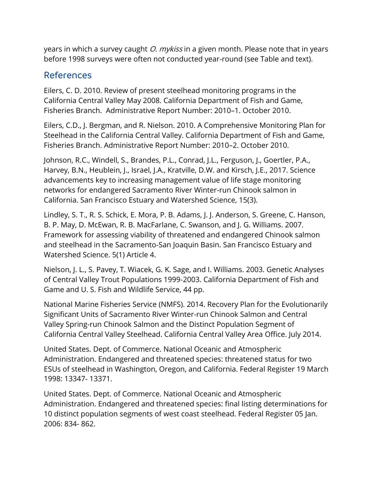years in which a survey caught *O. mykiss* in a given month. Please note that in years before 1998 surveys were often not conducted year-round (see Table and text).

### References

Eilers, C. D. 2010. Review of present steelhead monitoring programs in the California Central Valley May 2008. California Department of Fish and Game, Fisheries Branch. Administrative Report Number: 2010–1. October 2010.

Eilers, C.D., J. Bergman, and R. Nielson. 2010. A Comprehensive Monitoring Plan for Steelhead in the California Central Valley. California Department of Fish and Game, Fisheries Branch. Administrative Report Number: 2010–2. October 2010.

Johnson, R.C., Windell, S., Brandes, P.L., Conrad, J.L., Ferguson, J., Goertler, P.A., Harvey, B.N., Heublein, J., Israel, J.A., Kratville, D.W. and Kirsch, J.E., 2017. Science advancements key to increasing management value of life stage monitoring networks for endangered Sacramento River Winter-run Chinook salmon in California. San Francisco Estuary and Watershed Science, 15(3).

Lindley, S. T., R. S. Schick, E. Mora, P. B. Adams, J. J. Anderson, S. Greene, C. Hanson, B. P. May, D. McEwan, R. B. MacFarlane, C. Swanson, and J. G. Williams. 2007. Framework for assessing viability of threatened and endangered Chinook salmon and steelhead in the Sacramento-San Joaquin Basin. San Francisco Estuary and Watershed Science. 5(1) Article 4.

Nielson, J. L., S. Pavey, T. Wiacek, G. K. Sage, and I. Williams. 2003. Genetic Analyses of Central Valley Trout Populations 1999-2003. California Department of Fish and Game and U. S. Fish and Wildlife Service, 44 pp.

National Marine Fisheries Service (NMFS). 2014. Recovery Plan for the Evolutionarily Significant Units of Sacramento River Winter-run Chinook Salmon and Central Valley Spring-run Chinook Salmon and the Distinct Population Segment of California Central Valley Steelhead. California Central Valley Area Office. July 2014.

United States. Dept. of Commerce. National Oceanic and Atmospheric Administration. Endangered and threatened species: threatened status for two ESUs of steelhead in Washington, Oregon, and California. Federal Register 19 March 1998: 13347- 13371.

United States. Dept. of Commerce. National Oceanic and Atmospheric Administration. Endangered and threatened species: final listing determinations for 10 distinct population segments of west coast steelhead. Federal Register 05 Jan. 2006: 834- 862.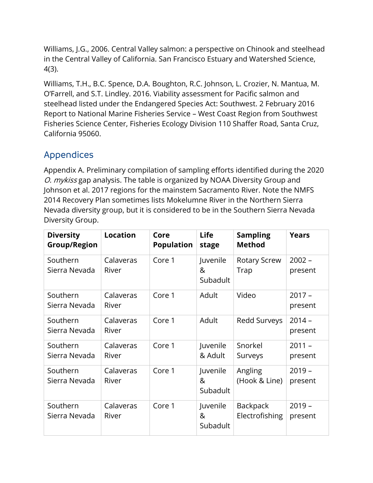Williams, J.G., 2006. Central Valley salmon: a perspective on Chinook and steelhead in the Central Valley of California. San Francisco Estuary and Watershed Science, 4(3).

Williams, T.H., B.C. Spence, D.A. Boughton, R.C. Johnson, L. Crozier, N. Mantua, M. O'Farrell, and S.T. Lindley. 2016. Viability assessment for Pacific salmon and steelhead listed under the Endangered Species Act: Southwest. 2 February 2016 Report to National Marine Fisheries Service – West Coast Region from Southwest Fisheries Science Center, Fisheries Ecology Division 110 Shaffer Road, Santa Cruz, California 95060.

## Appendices

Appendix A. Preliminary compilation of sampling efforts identified during the 2020 O. mykiss gap analysis. The table is organized by NOAA Diversity Group and Johnson et al. 2017 regions for the mainstem Sacramento River. Note the NMFS 2014 Recovery Plan sometimes lists Mokelumne River in the Northern Sierra Nevada diversity group, but it is considered to be in the Southern Sierra Nevada Diversity Group.

| <b>Diversity</b><br><b>Group/Region</b> | <b>Location</b>    | Core<br><b>Population</b> | <b>Life</b><br>stage      | <b>Sampling</b><br><b>Method</b>  | <b>Years</b>        |
|-----------------------------------------|--------------------|---------------------------|---------------------------|-----------------------------------|---------------------|
| Southern<br>Sierra Nevada               | Calaveras<br>River | Core 1                    | Juvenile<br>&<br>Subadult | <b>Rotary Screw</b><br>Trap       | $2002 -$<br>present |
| Southern<br>Sierra Nevada               | Calaveras<br>River | Core 1                    | Adult                     | Video                             | $2017 -$<br>present |
| Southern<br>Sierra Nevada               | Calaveras<br>River | Core 1                    | Adult                     | Redd Surveys                      | $2014 -$<br>present |
| Southern<br>Sierra Nevada               | Calaveras<br>River | Core 1                    | Juvenile<br>& Adult       | Snorkel<br>Surveys                | $2011 -$<br>present |
| Southern<br>Sierra Nevada               | Calaveras<br>River | Core 1                    | Juvenile<br>&<br>Subadult | Angling<br>(Hook & Line)          | $2019 -$<br>present |
| Southern<br>Sierra Nevada               | Calaveras<br>River | Core 1                    | Juvenile<br>&<br>Subadult | <b>Backpack</b><br>Electrofishing | $2019 -$<br>present |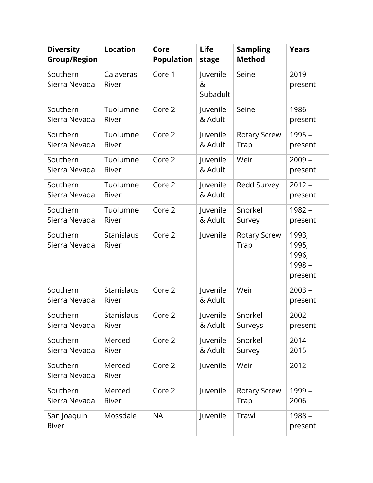| <b>Diversity</b><br><b>Group/Region</b> | <b>Location</b>     | Core<br><b>Population</b> | <b>Life</b><br>stage      | <b>Sampling</b><br><b>Method</b> | <b>Years</b>                                 |
|-----------------------------------------|---------------------|---------------------------|---------------------------|----------------------------------|----------------------------------------------|
| Southern<br>Sierra Nevada               | Calaveras<br>River  | Core 1                    | Juvenile<br>&<br>Subadult | Seine                            | $2019 -$<br>present                          |
| Southern<br>Sierra Nevada               | Tuolumne<br>River   | Core 2                    | Juvenile<br>& Adult       | Seine                            | $1986 -$<br>present                          |
| Southern<br>Sierra Nevada               | Tuolumne<br>River   | Core 2                    | Juvenile<br>& Adult       | <b>Rotary Screw</b><br>Trap      | $1995 -$<br>present                          |
| Southern<br>Sierra Nevada               | Tuolumne<br>River   | Core 2                    | Juvenile<br>& Adult       | Weir                             | $2009 -$<br>present                          |
| Southern<br>Sierra Nevada               | Tuolumne<br>River   | Core 2                    | Juvenile<br>& Adult       | Redd Survey                      | $2012 -$<br>present                          |
| Southern<br>Sierra Nevada               | Tuolumne<br>River   | Core 2                    | Juvenile<br>& Adult       | Snorkel<br>Survey                | $1982 -$<br>present                          |
| Southern<br>Sierra Nevada               | Stanislaus<br>River | Core 2                    | Juvenile                  | Rotary Screw<br>Trap             | 1993,<br>1995,<br>1996,<br>1998 -<br>present |
| Southern<br>Sierra Nevada               | Stanislaus<br>River | Core 2                    | Juvenile<br>& Adult       | Weir                             | $2003 -$<br>present                          |
| Southern<br>Sierra Nevada               | Stanislaus<br>River | Core 2                    | Juvenile<br>& Adult       | Snorkel<br>Surveys               | $2002 -$<br>present                          |
| Southern<br>Sierra Nevada               | Merced<br>River     | Core 2                    | Juvenile<br>& Adult       | Snorkel<br>Survey                | $2014 -$<br>2015                             |
| Southern<br>Sierra Nevada               | Merced<br>River     | Core 2                    | Juvenile                  | Weir                             | 2012                                         |
| Southern<br>Sierra Nevada               | Merced<br>River     | Core 2                    | Juvenile                  | <b>Rotary Screw</b><br>Trap      | 1999 -<br>2006                               |
| San Joaquin<br>River                    | Mossdale            | <b>NA</b>                 | Juvenile                  | Trawl                            | $1988 -$<br>present                          |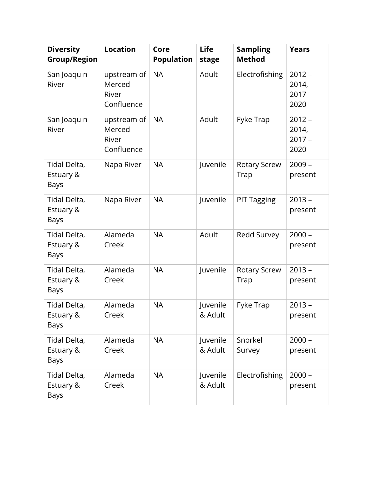| <b>Diversity</b><br><b>Group/Region</b>  | <b>Location</b>                              | Core<br><b>Population</b> | <b>Life</b><br>stage | <b>Sampling</b><br><b>Method</b> | <b>Years</b>                          |
|------------------------------------------|----------------------------------------------|---------------------------|----------------------|----------------------------------|---------------------------------------|
| San Joaquin<br>River                     | upstream of<br>Merced<br>River<br>Confluence | <b>NA</b>                 | Adult                | Electrofishing                   | $2012 -$<br>2014,<br>$2017 -$<br>2020 |
| San Joaquin<br>River                     | upstream of<br>Merced<br>River<br>Confluence | <b>NA</b>                 | Adult                | Fyke Trap                        | $2012 -$<br>2014,<br>$2017 -$<br>2020 |
| Tidal Delta,<br>Estuary &<br>Bays        | Napa River                                   | <b>NA</b>                 | Juvenile             | <b>Rotary Screw</b><br>Trap      | $2009 -$<br>present                   |
| Tidal Delta,<br>Estuary &<br>Bays        | Napa River                                   | <b>NA</b>                 | Juvenile             | <b>PIT Tagging</b>               | $2013 -$<br>present                   |
| Tidal Delta,<br>Estuary &<br>Bays        | Alameda<br>Creek                             | <b>NA</b>                 | Adult                | Redd Survey                      | $2000 -$<br>present                   |
| Tidal Delta,<br>Estuary &<br>Bays        | Alameda<br>Creek                             | <b>NA</b>                 | Juvenile             | <b>Rotary Screw</b><br>Trap      | $2013 -$<br>present                   |
| Tidal Delta,<br>Estuary &<br>Bays        | Alameda<br>Creek                             | <b>NA</b>                 | Juvenile<br>& Adult  | Fyke Trap                        | $2013 -$<br>present                   |
| Tidal Delta,<br>Estuary &<br>Bays        | Alameda<br>Creek                             | <b>NA</b>                 | Juvenile<br>& Adult  | Snorkel<br>Survey                | $2000 -$<br>present                   |
| Tidal Delta,<br>Estuary &<br><b>Bays</b> | Alameda<br>Creek                             | <b>NA</b>                 | Juvenile<br>& Adult  | Electrofishing                   | $2000 -$<br>present                   |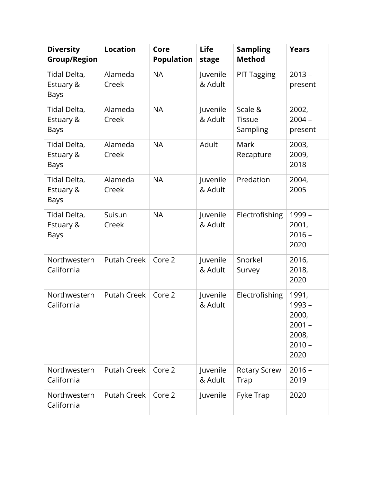| <b>Diversity</b><br><b>Group/Region</b>  | <b>Location</b>    | Core<br><b>Population</b> | <b>Life</b><br>stage | <b>Sampling</b><br><b>Method</b>     | <b>Years</b>                                                      |
|------------------------------------------|--------------------|---------------------------|----------------------|--------------------------------------|-------------------------------------------------------------------|
| Tidal Delta,<br>Estuary &<br>Bays        | Alameda<br>Creek   | <b>NA</b>                 | Juvenile<br>& Adult  | <b>PIT Tagging</b>                   | $2013 -$<br>present                                               |
| Tidal Delta,<br>Estuary &<br><b>Bays</b> | Alameda<br>Creek   | <b>NA</b>                 | Juvenile<br>& Adult  | Scale &<br><b>Tissue</b><br>Sampling | 2002,<br>$2004 -$<br>present                                      |
| Tidal Delta,<br>Estuary &<br>Bays        | Alameda<br>Creek   | <b>NA</b>                 | Adult                | Mark<br>Recapture                    | 2003,<br>2009,<br>2018                                            |
| Tidal Delta,<br>Estuary &<br>Bays        | Alameda<br>Creek   | <b>NA</b>                 | Juvenile<br>& Adult  | Predation                            | 2004,<br>2005                                                     |
| Tidal Delta,<br>Estuary &<br>Bays        | Suisun<br>Creek    | <b>NA</b>                 | Juvenile<br>& Adult  | Electrofishing                       | 1999 -<br>2001,<br>$2016 -$<br>2020                               |
| Northwestern<br>California               | <b>Putah Creek</b> | Core 2                    | Juvenile<br>& Adult  | Snorkel<br>Survey                    | 2016,<br>2018,<br>2020                                            |
| Northwestern<br>California               | <b>Putah Creek</b> | Core 2                    | Juvenile<br>& Adult  | Electrofishing                       | 1991,<br>1993 -<br>2000,<br>$2001 -$<br>2008,<br>$2010 -$<br>2020 |
| Northwestern<br>California               | <b>Putah Creek</b> | Core 2                    | Juvenile<br>& Adult  | Rotary Screw<br>Trap                 | $2016 -$<br>2019                                                  |
| Northwestern<br>California               | <b>Putah Creek</b> | Core 2                    | Juvenile             | Fyke Trap                            | 2020                                                              |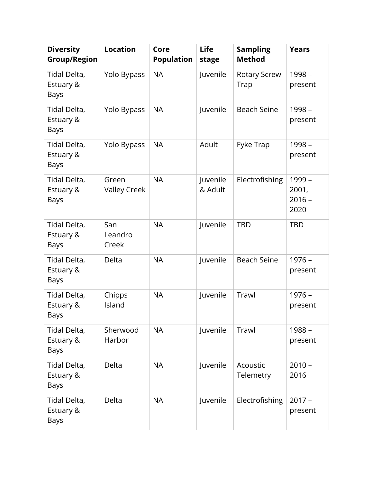| <b>Diversity</b><br><b>Group/Region</b>  | <b>Location</b>              | Core<br><b>Population</b> | <b>Life</b><br>stage | <b>Sampling</b><br><b>Method</b> | <b>Years</b>                        |
|------------------------------------------|------------------------------|---------------------------|----------------------|----------------------------------|-------------------------------------|
| Tidal Delta,<br>Estuary &<br><b>Bays</b> | Yolo Bypass                  | <b>NA</b>                 | Juvenile             | <b>Rotary Screw</b><br>Trap      | 1998 -<br>present                   |
| Tidal Delta,<br>Estuary &<br>Bays        | Yolo Bypass                  | <b>NA</b>                 | Juvenile             | <b>Beach Seine</b>               | 1998 -<br>present                   |
| Tidal Delta,<br>Estuary &<br>Bays        | Yolo Bypass                  | <b>NA</b>                 | Adult                | Fyke Trap                        | 1998 -<br>present                   |
| Tidal Delta,<br>Estuary &<br>Bays        | Green<br><b>Valley Creek</b> | <b>NA</b>                 | Juvenile<br>& Adult  | Electrofishing                   | 1999 -<br>2001,<br>$2016 -$<br>2020 |
| Tidal Delta,<br>Estuary &<br>Bays        | San<br>Leandro<br>Creek      | <b>NA</b>                 | Juvenile             | TBD                              | <b>TBD</b>                          |
| Tidal Delta,<br>Estuary &<br>Bays        | Delta                        | <b>NA</b>                 | Juvenile             | <b>Beach Seine</b>               | $1976 -$<br>present                 |
| Tidal Delta,<br>Estuary &<br>Bays        | Chipps<br>Island             | <b>NA</b>                 | Juvenile             | Trawl                            | $1976 -$<br>present                 |
| Tidal Delta,<br>Estuary &<br>Bays        | Sherwood<br>Harbor           | <b>NA</b>                 | Juvenile             | Trawl                            | $1988 -$<br>present                 |
| Tidal Delta,<br>Estuary &<br>Bays        | Delta                        | <b>NA</b>                 | Juvenile             | Acoustic<br>Telemetry            | $2010 -$<br>2016                    |
| Tidal Delta,<br>Estuary &<br><b>Bays</b> | Delta                        | <b>NA</b>                 | Juvenile             | Electrofishing                   | $2017 -$<br>present                 |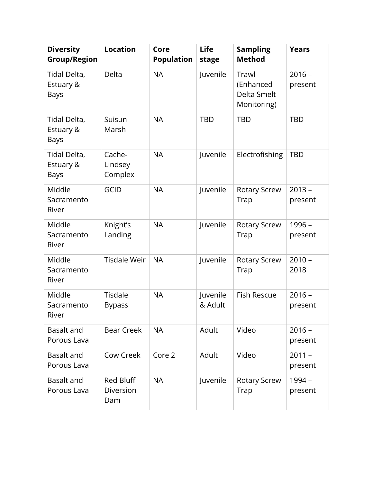| <b>Diversity</b><br><b>Group/Region</b>  | <b>Location</b>               | Core<br><b>Population</b> | <b>Life</b><br>stage | <b>Sampling</b><br><b>Method</b>                 | <b>Years</b>        |
|------------------------------------------|-------------------------------|---------------------------|----------------------|--------------------------------------------------|---------------------|
| Tidal Delta,<br>Estuary &<br>Bays        | Delta                         | <b>NA</b>                 | Juvenile             | Trawl<br>(Enhanced<br>Delta Smelt<br>Monitoring) | $2016 -$<br>present |
| Tidal Delta,<br>Estuary &<br>Bays        | Suisun<br>Marsh               | <b>NA</b>                 | <b>TBD</b>           | <b>TBD</b>                                       | <b>TBD</b>          |
| Tidal Delta,<br>Estuary &<br><b>Bays</b> | Cache-<br>Lindsey<br>Complex  | <b>NA</b>                 | Juvenile             | Electrofishing                                   | <b>TBD</b>          |
| Middle<br>Sacramento<br>River            | <b>GCID</b>                   | <b>NA</b>                 | Juvenile             | <b>Rotary Screw</b><br>Trap                      | $2013 -$<br>present |
| Middle<br>Sacramento<br>River            | Knight's<br>Landing           | <b>NA</b>                 | Juvenile             | <b>Rotary Screw</b><br>Trap                      | 1996 -<br>present   |
| Middle<br>Sacramento<br>River            | <b>Tisdale Weir</b>           | <b>NA</b>                 | Juvenile             | <b>Rotary Screw</b><br>Trap                      | $2010 -$<br>2018    |
| Middle<br>Sacramento<br>River            | Tisdale<br><b>Bypass</b>      | <b>NA</b>                 | Juvenile<br>& Adult  | <b>Fish Rescue</b>                               | $2016 -$<br>present |
| <b>Basalt and</b><br>Porous Lava         | <b>Bear Creek</b>             | <b>NA</b>                 | Adult                | Video                                            | $2016 -$<br>present |
| Basalt and<br>Porous Lava                | Cow Creek                     | Core 2                    | Adult                | Video                                            | $2011 -$<br>present |
| <b>Basalt and</b><br>Porous Lava         | Red Bluff<br>Diversion<br>Dam | <b>NA</b>                 | Juvenile             | <b>Rotary Screw</b><br>Trap                      | 1994 -<br>present   |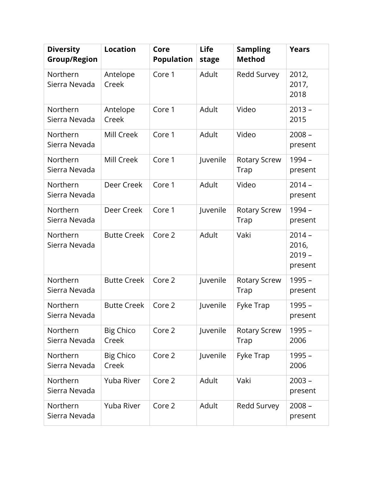| <b>Diversity</b><br><b>Group/Region</b> | <b>Location</b>           | Core<br><b>Population</b> | <b>Life</b><br>stage | <b>Sampling</b><br><b>Method</b> | <b>Years</b>                             |
|-----------------------------------------|---------------------------|---------------------------|----------------------|----------------------------------|------------------------------------------|
| Northern<br>Sierra Nevada               | Antelope<br>Creek         | Core 1                    | Adult                | Redd Survey                      | 2012,<br>2017,<br>2018                   |
| Northern<br>Sierra Nevada               | Antelope<br>Creek         | Core 1                    | Adult                | Video                            | $2013 -$<br>2015                         |
| Northern<br>Sierra Nevada               | Mill Creek                | Core 1                    | Adult                | Video                            | $2008 -$<br>present                      |
| Northern<br>Sierra Nevada               | Mill Creek                | Core 1                    | Juvenile             | Rotary Screw<br>Trap             | 1994 -<br>present                        |
| Northern<br>Sierra Nevada               | Deer Creek                | Core 1                    | Adult                | Video                            | $2014 -$<br>present                      |
| Northern<br>Sierra Nevada               | Deer Creek                | Core 1                    | Juvenile             | <b>Rotary Screw</b><br>Trap      | 1994 -<br>present                        |
| Northern<br>Sierra Nevada               | <b>Butte Creek</b>        | Core 2                    | Adult                | Vaki                             | $2014 -$<br>2016,<br>$2019 -$<br>present |
| Northern<br>Sierra Nevada               | <b>Butte Creek</b>        | Core 2                    | Juvenile             | <b>Rotary Screw</b><br>Trap      | $1995 -$<br>present                      |
| Northern<br>Sierra Nevada               | <b>Butte Creek</b>        | Core 2                    | Juvenile             | Fyke Trap                        | 1995 -<br>present                        |
| Northern<br>Sierra Nevada               | Big Chico<br>Creek        | Core 2                    | Juvenile             | <b>Rotary Screw</b><br>Trap      | 1995 -<br>2006                           |
| Northern<br>Sierra Nevada               | <b>Big Chico</b><br>Creek | Core 2                    | Juvenile             | Fyke Trap                        | $1995 -$<br>2006                         |
| Northern<br>Sierra Nevada               | Yuba River                | Core 2                    | Adult                | Vaki                             | $2003 -$<br>present                      |
| Northern<br>Sierra Nevada               | Yuba River                | Core 2                    | Adult                | Redd Survey                      | $2008 -$<br>present                      |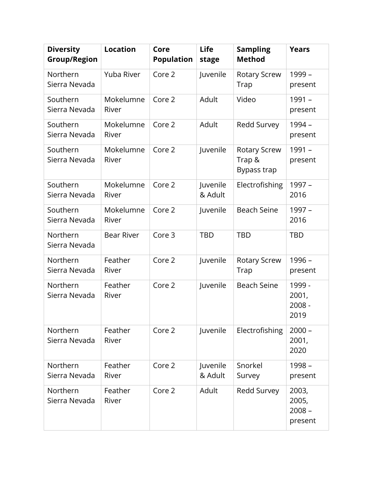| <b>Diversity</b><br><b>Group/Region</b> | <b>Location</b>    | Core<br><b>Population</b> | Life<br>stage       | <b>Sampling</b><br><b>Method</b>             | <b>Years</b>                          |
|-----------------------------------------|--------------------|---------------------------|---------------------|----------------------------------------------|---------------------------------------|
| Northern<br>Sierra Nevada               | Yuba River         | Core 2                    | Juvenile            | <b>Rotary Screw</b><br>Trap                  | 1999 -<br>present                     |
| Southern<br>Sierra Nevada               | Mokelumne<br>River | Core 2                    | Adult               | Video                                        | 1991 -<br>present                     |
| Southern<br>Sierra Nevada               | Mokelumne<br>River | Core 2                    | Adult               | Redd Survey                                  | 1994 -<br>present                     |
| Southern<br>Sierra Nevada               | Mokelumne<br>River | Core 2                    | Juvenile            | <b>Rotary Screw</b><br>Trap &<br>Bypass trap | 1991 -<br>present                     |
| Southern<br>Sierra Nevada               | Mokelumne<br>River | Core 2                    | Juvenile<br>& Adult | Electrofishing                               | 1997 -<br>2016                        |
| Southern<br>Sierra Nevada               | Mokelumne<br>River | Core 2                    | Juvenile            | <b>Beach Seine</b>                           | 1997 -<br>2016                        |
| Northern<br>Sierra Nevada               | <b>Bear River</b>  | Core 3                    | <b>TBD</b>          | <b>TBD</b>                                   | <b>TBD</b>                            |
| Northern<br>Sierra Nevada               | Feather<br>River   | Core 2                    | Juvenile            | <b>Rotary Screw</b><br>Trap                  | 1996 -<br>present                     |
| Northern<br>Sierra Nevada               | Feather<br>River   | Core 2                    | Juvenile            | <b>Beach Seine</b>                           | 1999 -<br>2001,<br>$2008 -$<br>2019   |
| Northern<br>Sierra Nevada               | Feather<br>River   | Core 2                    | Juvenile            | Electrofishing                               | $2000 -$<br>2001,<br>2020             |
| Northern<br>Sierra Nevada               | Feather<br>River   | Core 2                    | Juvenile<br>& Adult | Snorkel<br>Survey                            | 1998 -<br>present                     |
| Northern<br>Sierra Nevada               | Feather<br>River   | Core 2                    | Adult               | Redd Survey                                  | 2003,<br>2005,<br>$2008 -$<br>present |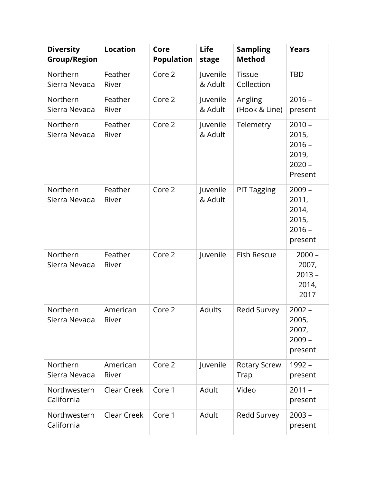| <b>Diversity</b><br><b>Group/Region</b> | <b>Location</b>   | Core<br><b>Population</b> | <b>Life</b><br>stage | <b>Sampling</b><br><b>Method</b> | <b>Years</b>                                                  |
|-----------------------------------------|-------------------|---------------------------|----------------------|----------------------------------|---------------------------------------------------------------|
| Northern<br>Sierra Nevada               | Feather<br>River  | Core 2                    | Juvenile<br>& Adult  | <b>Tissue</b><br>Collection      | <b>TBD</b>                                                    |
| Northern<br>Sierra Nevada               | Feather<br>River  | Core 2                    | Juvenile<br>& Adult  | Angling<br>(Hook & Line)         | $2016 -$<br>present                                           |
| Northern<br>Sierra Nevada               | Feather<br>River  | Core 2                    | Juvenile<br>& Adult  | Telemetry                        | $2010 -$<br>2015,<br>$2016 -$<br>2019,<br>$2020 -$<br>Present |
| Northern<br>Sierra Nevada               | Feather<br>River  | Core 2                    | Juvenile<br>& Adult  | <b>PIT Tagging</b>               | $2009 -$<br>2011,<br>2014,<br>2015,<br>$2016 -$<br>present    |
| Northern<br>Sierra Nevada               | Feather<br>River  | Core 2                    | Juvenile             | Fish Rescue                      | $2000 -$<br>2007,<br>$2013 -$<br>2014,<br>2017                |
| Northern<br>Sierra Nevada               | American<br>River | Core 2                    | Adults               | Redd Survey                      | $2002 -$<br>2005,<br>2007,<br>$2009 -$<br>present             |
| Northern<br>Sierra Nevada               | American<br>River | Core 2                    | Juvenile             | <b>Rotary Screw</b><br>Trap      | 1992 -<br>present                                             |
| Northwestern<br>California              | Clear Creek       | Core 1                    | Adult                | Video                            | $2011 -$<br>present                                           |
| Northwestern<br>California              | Clear Creek       | Core 1                    | Adult                | Redd Survey                      | $2003 -$<br>present                                           |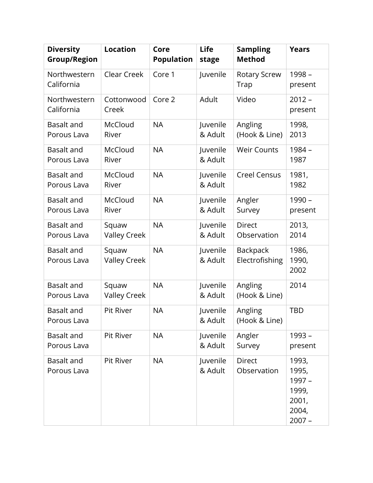| <b>Diversity</b><br><b>Group/Region</b> | <b>Location</b>              | Core<br><b>Population</b> | <b>Life</b><br>stage | <b>Sampling</b><br><b>Method</b>  | <b>Years</b>                                                    |
|-----------------------------------------|------------------------------|---------------------------|----------------------|-----------------------------------|-----------------------------------------------------------------|
| Northwestern<br>California              | Clear Creek                  | Core 1                    | Juvenile             | <b>Rotary Screw</b><br>Trap       | 1998 -<br>present                                               |
| Northwestern<br>California              | Cottonwood<br>Creek          | Core 2                    | Adult                | Video                             | $2012 -$<br>present                                             |
| <b>Basalt and</b><br>Porous Lava        | McCloud<br>River             | <b>NA</b>                 | Juvenile<br>& Adult  | Angling<br>(Hook & Line)          | 1998,<br>2013                                                   |
| <b>Basalt and</b><br>Porous Lava        | McCloud<br>River             | <b>NA</b>                 | Juvenile<br>& Adult  | <b>Weir Counts</b>                | 1984 -<br>1987                                                  |
| <b>Basalt and</b><br>Porous Lava        | McCloud<br>River             | <b>NA</b>                 | Juvenile<br>& Adult  | <b>Creel Census</b>               | 1981,<br>1982                                                   |
| <b>Basalt and</b><br>Porous Lava        | McCloud<br>River             | <b>NA</b>                 | Juvenile<br>& Adult  | Angler<br>Survey                  | $1990 -$<br>present                                             |
| <b>Basalt and</b><br>Porous Lava        | Squaw<br><b>Valley Creek</b> | <b>NA</b>                 | Juvenile<br>& Adult  | <b>Direct</b><br>Observation      | 2013,<br>2014                                                   |
| <b>Basalt and</b><br>Porous Lava        | Squaw<br><b>Valley Creek</b> | <b>NA</b>                 | Juvenile<br>& Adult  | <b>Backpack</b><br>Electrofishing | 1986,<br>1990,<br>2002                                          |
| <b>Basalt and</b><br>Porous Lava        | Squaw<br><b>Valley Creek</b> | <b>NA</b>                 | Juvenile<br>& Adult  | Angling<br>(Hook & Line)          | 2014                                                            |
| <b>Basalt and</b><br>Porous Lava        | Pit River                    | <b>NA</b>                 | Juvenile<br>& Adult  | Angling<br>(Hook & Line)          | <b>TBD</b>                                                      |
| Basalt and<br>Porous Lava               | Pit River                    | <b>NA</b>                 | Juvenile<br>& Adult  | Angler<br>Survey                  | 1993 -<br>present                                               |
| Basalt and<br>Porous Lava               | Pit River                    | <b>NA</b>                 | Juvenile<br>& Adult  | <b>Direct</b><br>Observation      | 1993,<br>1995,<br>1997 -<br>1999,<br>2001,<br>2004,<br>$2007 -$ |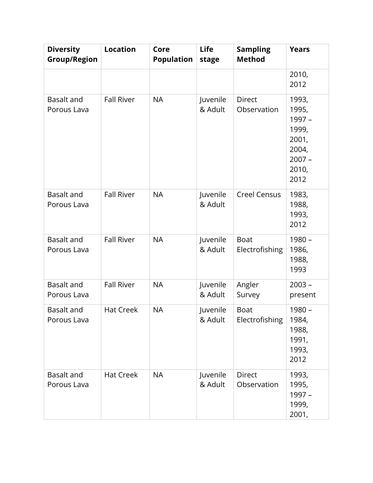| <b>Diversity</b><br><b>Group/Region</b> | <b>Location</b>   | Core<br><b>Population</b> | <b>Life</b><br>stage | <b>Sampling</b><br><b>Method</b> | <b>Years</b>                                                                     |
|-----------------------------------------|-------------------|---------------------------|----------------------|----------------------------------|----------------------------------------------------------------------------------|
|                                         |                   |                           |                      |                                  | 2010,<br>2012                                                                    |
| Basalt and<br>Porous Lava               | <b>Fall River</b> | <b>NA</b>                 | Juvenile<br>& Adult  | <b>Direct</b><br>Observation     | 1993,<br>1995,<br>1997 -<br>1999,<br>2001,<br>2004,<br>$2007 -$<br>2010,<br>2012 |
| <b>Basalt and</b><br>Porous Lava        | <b>Fall River</b> | <b>NA</b>                 | Juvenile<br>& Adult  | <b>Creel Census</b>              | 1983,<br>1988,<br>1993,<br>2012                                                  |
| <b>Basalt and</b><br>Porous Lava        | <b>Fall River</b> | <b>NA</b>                 | Juvenile<br>& Adult  | <b>Boat</b><br>Electrofishing    | $1980 -$<br>1986,<br>1988,<br>1993                                               |
| <b>Basalt and</b><br>Porous Lava        | <b>Fall River</b> | <b>NA</b>                 | Juvenile<br>& Adult  | Angler<br>Survey                 | $2003 -$<br>present                                                              |
| <b>Basalt and</b><br>Porous Lava        | <b>Hat Creek</b>  | <b>NA</b>                 | Juvenile<br>& Adult  | <b>Boat</b><br>Electrofishing    | $1980 -$<br>1984,<br>1988,<br>1991,<br>1993,<br>2012                             |
| <b>Basalt and</b><br>Porous Lava        | <b>Hat Creek</b>  | <b>NA</b>                 | Juvenile<br>& Adult  | <b>Direct</b><br>Observation     | 1993,<br>1995,<br>1997 -<br>1999,<br>2001,                                       |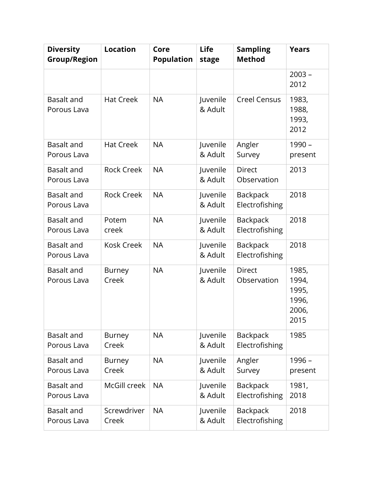| <b>Diversity</b><br><b>Group/Region</b> | <b>Location</b>        | Core<br><b>Population</b> | <b>Life</b><br>stage | <b>Sampling</b><br><b>Method</b>  | <b>Years</b>                                      |
|-----------------------------------------|------------------------|---------------------------|----------------------|-----------------------------------|---------------------------------------------------|
|                                         |                        |                           |                      |                                   | $2003 -$<br>2012                                  |
| Basalt and<br>Porous Lava               | <b>Hat Creek</b>       | <b>NA</b>                 | Juvenile<br>& Adult  | <b>Creel Census</b>               | 1983,<br>1988,<br>1993,<br>2012                   |
| Basalt and<br>Porous Lava               | <b>Hat Creek</b>       | <b>NA</b>                 | Juvenile<br>& Adult  | Angler<br>Survey                  | 1990 -<br>present                                 |
| <b>Basalt and</b><br>Porous Lava        | <b>Rock Creek</b>      | <b>NA</b>                 | Juvenile<br>& Adult  | <b>Direct</b><br>Observation      | 2013                                              |
| <b>Basalt and</b><br>Porous Lava        | <b>Rock Creek</b>      | <b>NA</b>                 | Juvenile<br>& Adult  | <b>Backpack</b><br>Electrofishing | 2018                                              |
| <b>Basalt and</b><br>Porous Lava        | Potem<br>creek         | <b>NA</b>                 | Juvenile<br>& Adult  | <b>Backpack</b><br>Electrofishing | 2018                                              |
| <b>Basalt and</b><br>Porous Lava        | <b>Kosk Creek</b>      | <b>NA</b>                 | Juvenile<br>& Adult  | <b>Backpack</b><br>Electrofishing | 2018                                              |
| <b>Basalt and</b><br>Porous Lava        | <b>Burney</b><br>Creek | <b>NA</b>                 | Juvenile<br>& Adult  | <b>Direct</b><br>Observation      | 1985,<br>1994,<br>1995,<br>1996,<br>2006,<br>2015 |
| Basalt and<br>Porous Lava               | <b>Burney</b><br>Creek | <b>NA</b>                 | Juvenile<br>& Adult  | <b>Backpack</b><br>Electrofishing | 1985                                              |
| Basalt and<br>Porous Lava               | Burney<br>Creek        | <b>NA</b>                 | Juvenile<br>& Adult  | Angler<br>Survey                  | 1996 -<br>present                                 |
| Basalt and<br>Porous Lava               | McGill creek           | <b>NA</b>                 | Juvenile<br>& Adult  | Backpack<br>Electrofishing        | 1981,<br>2018                                     |
| Basalt and<br>Porous Lava               | Screwdriver<br>Creek   | <b>NA</b>                 | Juvenile<br>& Adult  | <b>Backpack</b><br>Electrofishing | 2018                                              |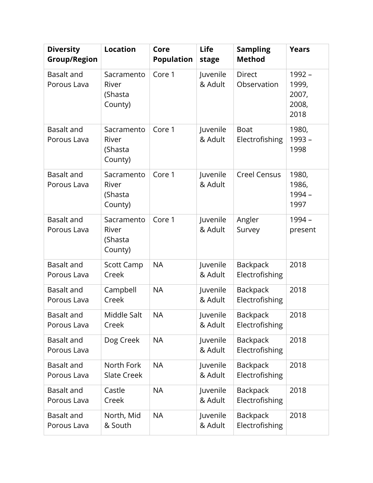| <b>Diversity</b><br><b>Group/Region</b> | <b>Location</b>                           | Core<br><b>Population</b> | <b>Life</b><br>stage | <b>Sampling</b><br><b>Method</b>  | <b>Years</b>                              |
|-----------------------------------------|-------------------------------------------|---------------------------|----------------------|-----------------------------------|-------------------------------------------|
| Basalt and<br>Porous Lava               | Sacramento<br>River<br>(Shasta<br>County) | Core 1                    | Juvenile<br>& Adult  | <b>Direct</b><br>Observation      | 1992 -<br>1999,<br>2007,<br>2008,<br>2018 |
| Basalt and<br>Porous Lava               | Sacramento<br>River<br>(Shasta<br>County) | Core 1                    | Juvenile<br>& Adult  | <b>Boat</b><br>Electrofishing     | 1980,<br>$1993 -$<br>1998                 |
| Basalt and<br>Porous Lava               | Sacramento<br>River<br>(Shasta<br>County) | Core 1                    | Juvenile<br>& Adult  | <b>Creel Census</b>               | 1980,<br>1986,<br>1994 -<br>1997          |
| <b>Basalt and</b><br>Porous Lava        | Sacramento<br>River<br>(Shasta<br>County) | Core 1                    | Juvenile<br>& Adult  | Angler<br>Survey                  | 1994 -<br>present                         |
| <b>Basalt and</b><br>Porous Lava        | <b>Scott Camp</b><br>Creek                | <b>NA</b>                 | Juvenile<br>& Adult  | <b>Backpack</b><br>Electrofishing | 2018                                      |
| <b>Basalt and</b><br>Porous Lava        | Campbell<br>Creek                         | <b>NA</b>                 | Juvenile<br>& Adult  | Backpack<br>Electrofishing        | 2018                                      |
| Basalt and<br>Porous Lava               | Middle Salt<br>Creek                      | NA                        | Juvenile<br>& Adult  | <b>Backpack</b><br>Electrofishing | 2018                                      |
| <b>Basalt and</b><br>Porous Lava        | Dog Creek                                 | <b>NA</b>                 | Juvenile<br>& Adult  | Backpack<br>Electrofishing        | 2018                                      |
| Basalt and<br>Porous Lava               | North Fork<br><b>Slate Creek</b>          | <b>NA</b>                 | Juvenile<br>& Adult  | <b>Backpack</b><br>Electrofishing | 2018                                      |
| <b>Basalt and</b><br>Porous Lava        | Castle<br>Creek                           | <b>NA</b>                 | Juvenile<br>& Adult  | Backpack<br>Electrofishing        | 2018                                      |
| Basalt and<br>Porous Lava               | North, Mid<br>& South                     | <b>NA</b>                 | Juvenile<br>& Adult  | Backpack<br>Electrofishing        | 2018                                      |